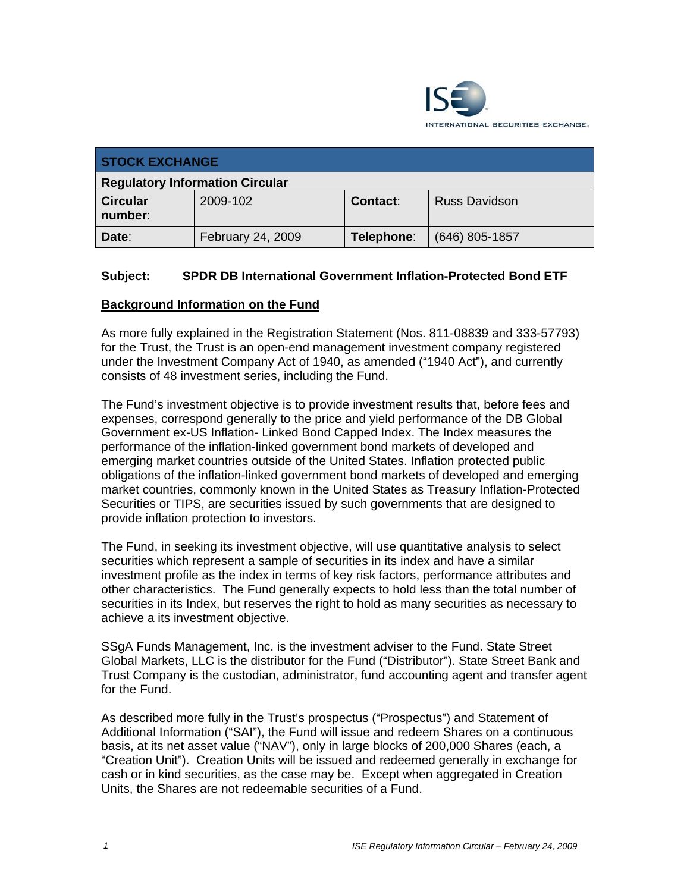

| <b>STOCK EXCHANGE</b>                  |                   |            |                      |
|----------------------------------------|-------------------|------------|----------------------|
| <b>Regulatory Information Circular</b> |                   |            |                      |
| <b>Circular</b><br>number:             | 2009-102          | Contact:   | <b>Russ Davidson</b> |
| Date:                                  | February 24, 2009 | Telephone: | $(646)$ 805-1857     |

# **Subject: SPDR DB International Government Inflation-Protected Bond ETF**

#### **Background Information on the Fund**

As more fully explained in the Registration Statement (Nos. 811-08839 and 333-57793) for the Trust, the Trust is an open-end management investment company registered under the Investment Company Act of 1940, as amended ("1940 Act"), and currently consists of 48 investment series, including the Fund.

The Fund's investment objective is to provide investment results that, before fees and expenses, correspond generally to the price and yield performance of the DB Global Government ex-US Inflation- Linked Bond Capped Index. The Index measures the performance of the inflation-linked government bond markets of developed and emerging market countries outside of the United States. Inflation protected public obligations of the inflation-linked government bond markets of developed and emerging market countries, commonly known in the United States as Treasury Inflation-Protected Securities or TIPS, are securities issued by such governments that are designed to provide inflation protection to investors.

The Fund, in seeking its investment objective, will use quantitative analysis to select securities which represent a sample of securities in its index and have a similar investment profile as the index in terms of key risk factors, performance attributes and other characteristics. The Fund generally expects to hold less than the total number of securities in its Index, but reserves the right to hold as many securities as necessary to achieve a its investment objective.

SSgA Funds Management, Inc. is the investment adviser to the Fund. State Street Global Markets, LLC is the distributor for the Fund ("Distributor"). State Street Bank and Trust Company is the custodian, administrator, fund accounting agent and transfer agent for the Fund.

As described more fully in the Trust's prospectus ("Prospectus") and Statement of Additional Information ("SAI"), the Fund will issue and redeem Shares on a continuous basis, at its net asset value ("NAV"), only in large blocks of 200,000 Shares (each, a "Creation Unit"). Creation Units will be issued and redeemed generally in exchange for cash or in kind securities, as the case may be. Except when aggregated in Creation Units, the Shares are not redeemable securities of a Fund.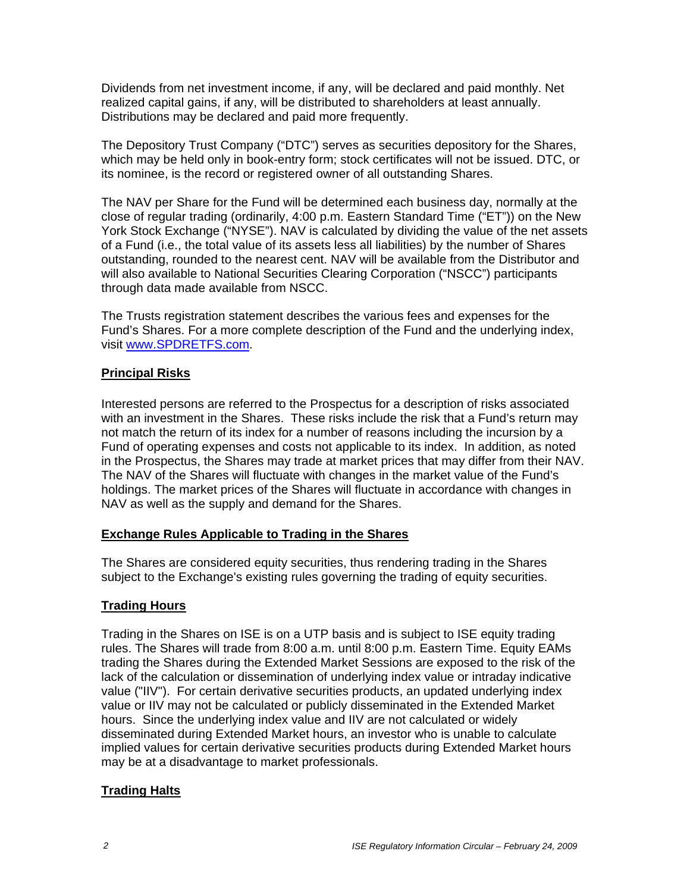Dividends from net investment income, if any, will be declared and paid monthly. Net realized capital gains, if any, will be distributed to shareholders at least annually. Distributions may be declared and paid more frequently.

The Depository Trust Company ("DTC") serves as securities depository for the Shares, which may be held only in book-entry form; stock certificates will not be issued. DTC, or its nominee, is the record or registered owner of all outstanding Shares.

The NAV per Share for the Fund will be determined each business day, normally at the close of regular trading (ordinarily, 4:00 p.m. Eastern Standard Time ("ET")) on the New York Stock Exchange ("NYSE"). NAV is calculated by dividing the value of the net assets of a Fund (i.e., the total value of its assets less all liabilities) by the number of Shares outstanding, rounded to the nearest cent. NAV will be available from the Distributor and will also available to National Securities Clearing Corporation ("NSCC") participants through data made available from NSCC.

The Trusts registration statement describes the various fees and expenses for the Fund's Shares. For a more complete description of the Fund and the underlying index, visit www.SPDRETFS.com.

#### **Principal Risks**

Interested persons are referred to the Prospectus for a description of risks associated with an investment in the Shares. These risks include the risk that a Fund's return may not match the return of its index for a number of reasons including the incursion by a Fund of operating expenses and costs not applicable to its index. In addition, as noted in the Prospectus, the Shares may trade at market prices that may differ from their NAV. The NAV of the Shares will fluctuate with changes in the market value of the Fund's holdings. The market prices of the Shares will fluctuate in accordance with changes in NAV as well as the supply and demand for the Shares.

## **Exchange Rules Applicable to Trading in the Shares**

The Shares are considered equity securities, thus rendering trading in the Shares subject to the Exchange's existing rules governing the trading of equity securities.

## **Trading Hours**

Trading in the Shares on ISE is on a UTP basis and is subject to ISE equity trading rules. The Shares will trade from 8:00 a.m. until 8:00 p.m. Eastern Time. Equity EAMs trading the Shares during the Extended Market Sessions are exposed to the risk of the lack of the calculation or dissemination of underlying index value or intraday indicative value ("IIV"). For certain derivative securities products, an updated underlying index value or IIV may not be calculated or publicly disseminated in the Extended Market hours. Since the underlying index value and IIV are not calculated or widely disseminated during Extended Market hours, an investor who is unable to calculate implied values for certain derivative securities products during Extended Market hours may be at a disadvantage to market professionals.

## **Trading Halts**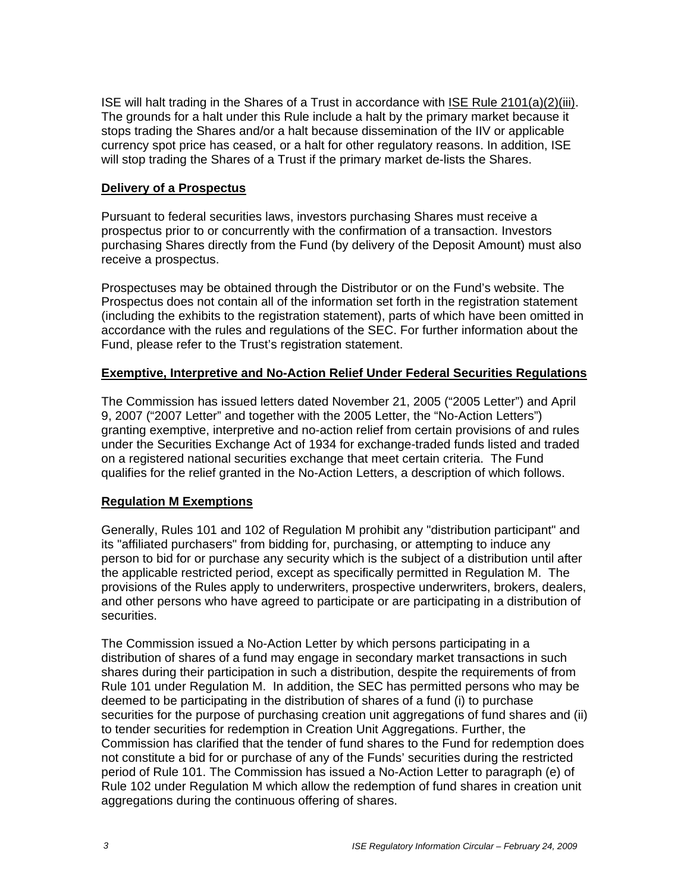ISE will halt trading in the Shares of a Trust in accordance with ISE Rule 2101(a)(2)(iii). The grounds for a halt under this Rule include a halt by the primary market because it stops trading the Shares and/or a halt because dissemination of the IIV or applicable currency spot price has ceased, or a halt for other regulatory reasons. In addition, ISE will stop trading the Shares of a Trust if the primary market de-lists the Shares.

#### **Delivery of a Prospectus**

Pursuant to federal securities laws, investors purchasing Shares must receive a prospectus prior to or concurrently with the confirmation of a transaction. Investors purchasing Shares directly from the Fund (by delivery of the Deposit Amount) must also receive a prospectus.

Prospectuses may be obtained through the Distributor or on the Fund's website. The Prospectus does not contain all of the information set forth in the registration statement (including the exhibits to the registration statement), parts of which have been omitted in accordance with the rules and regulations of the SEC. For further information about the Fund, please refer to the Trust's registration statement.

#### **Exemptive, Interpretive and No-Action Relief Under Federal Securities Regulations**

The Commission has issued letters dated November 21, 2005 ("2005 Letter") and April 9, 2007 ("2007 Letter" and together with the 2005 Letter, the "No-Action Letters") granting exemptive, interpretive and no-action relief from certain provisions of and rules under the Securities Exchange Act of 1934 for exchange-traded funds listed and traded on a registered national securities exchange that meet certain criteria. The Fund qualifies for the relief granted in the No-Action Letters, a description of which follows.

## **Regulation M Exemptions**

Generally, Rules 101 and 102 of Regulation M prohibit any "distribution participant" and its "affiliated purchasers" from bidding for, purchasing, or attempting to induce any person to bid for or purchase any security which is the subject of a distribution until after the applicable restricted period, except as specifically permitted in Regulation M. The provisions of the Rules apply to underwriters, prospective underwriters, brokers, dealers, and other persons who have agreed to participate or are participating in a distribution of securities.

The Commission issued a No-Action Letter by which persons participating in a distribution of shares of a fund may engage in secondary market transactions in such shares during their participation in such a distribution, despite the requirements of from Rule 101 under Regulation M. In addition, the SEC has permitted persons who may be deemed to be participating in the distribution of shares of a fund (i) to purchase securities for the purpose of purchasing creation unit aggregations of fund shares and (ii) to tender securities for redemption in Creation Unit Aggregations. Further, the Commission has clarified that the tender of fund shares to the Fund for redemption does not constitute a bid for or purchase of any of the Funds' securities during the restricted period of Rule 101. The Commission has issued a No-Action Letter to paragraph (e) of Rule 102 under Regulation M which allow the redemption of fund shares in creation unit aggregations during the continuous offering of shares.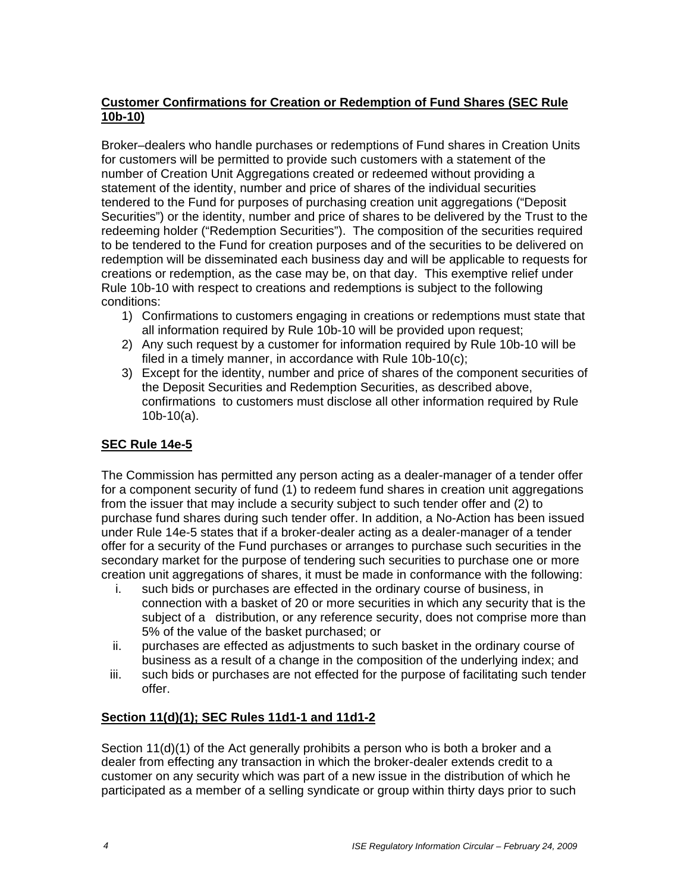# **Customer Confirmations for Creation or Redemption of Fund Shares (SEC Rule 10b-10)**

Broker–dealers who handle purchases or redemptions of Fund shares in Creation Units for customers will be permitted to provide such customers with a statement of the number of Creation Unit Aggregations created or redeemed without providing a statement of the identity, number and price of shares of the individual securities tendered to the Fund for purposes of purchasing creation unit aggregations ("Deposit Securities") or the identity, number and price of shares to be delivered by the Trust to the redeeming holder ("Redemption Securities"). The composition of the securities required to be tendered to the Fund for creation purposes and of the securities to be delivered on redemption will be disseminated each business day and will be applicable to requests for creations or redemption, as the case may be, on that day. This exemptive relief under Rule 10b-10 with respect to creations and redemptions is subject to the following conditions:

- 1) Confirmations to customers engaging in creations or redemptions must state that all information required by Rule 10b-10 will be provided upon request;
- 2) Any such request by a customer for information required by Rule 10b-10 will be filed in a timely manner, in accordance with Rule 10b-10(c);
- 3) Except for the identity, number and price of shares of the component securities of the Deposit Securities and Redemption Securities, as described above, confirmations to customers must disclose all other information required by Rule 10b-10(a).

# **SEC Rule 14e-5**

The Commission has permitted any person acting as a dealer-manager of a tender offer for a component security of fund (1) to redeem fund shares in creation unit aggregations from the issuer that may include a security subject to such tender offer and (2) to purchase fund shares during such tender offer. In addition, a No-Action has been issued under Rule 14e-5 states that if a broker-dealer acting as a dealer-manager of a tender offer for a security of the Fund purchases or arranges to purchase such securities in the secondary market for the purpose of tendering such securities to purchase one or more creation unit aggregations of shares, it must be made in conformance with the following:

- i. such bids or purchases are effected in the ordinary course of business, in connection with a basket of 20 or more securities in which any security that is the subject of a distribution, or any reference security, does not comprise more than 5% of the value of the basket purchased; or
- ii. purchases are effected as adjustments to such basket in the ordinary course of business as a result of a change in the composition of the underlying index; and
- iii. such bids or purchases are not effected for the purpose of facilitating such tender offer.

## **Section 11(d)(1); SEC Rules 11d1-1 and 11d1-2**

Section 11(d)(1) of the Act generally prohibits a person who is both a broker and a dealer from effecting any transaction in which the broker-dealer extends credit to a customer on any security which was part of a new issue in the distribution of which he participated as a member of a selling syndicate or group within thirty days prior to such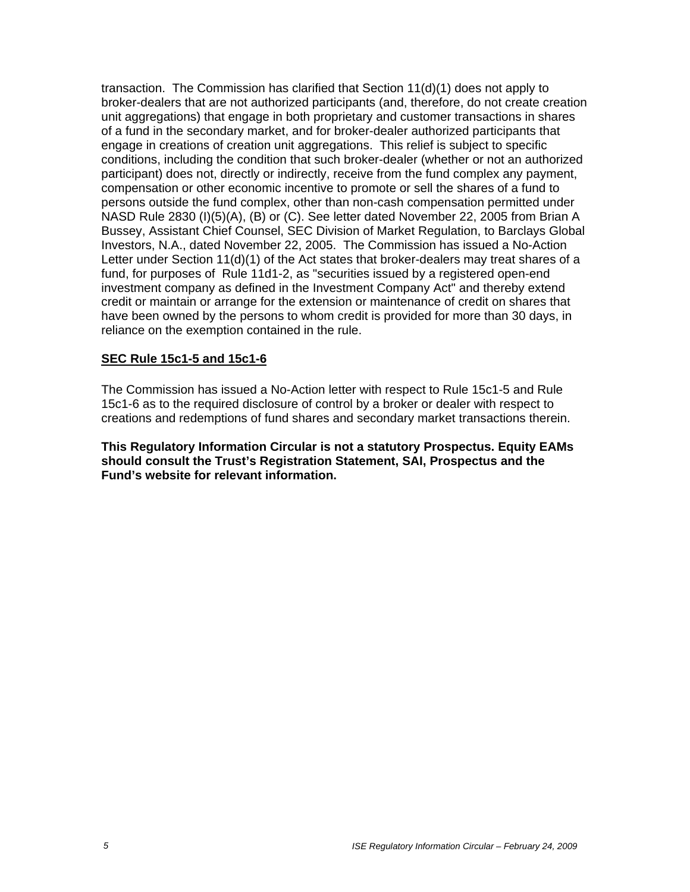transaction. The Commission has clarified that Section 11(d)(1) does not apply to broker-dealers that are not authorized participants (and, therefore, do not create creation unit aggregations) that engage in both proprietary and customer transactions in shares of a fund in the secondary market, and for broker-dealer authorized participants that engage in creations of creation unit aggregations. This relief is subject to specific conditions, including the condition that such broker-dealer (whether or not an authorized participant) does not, directly or indirectly, receive from the fund complex any payment, compensation or other economic incentive to promote or sell the shares of a fund to persons outside the fund complex, other than non-cash compensation permitted under NASD Rule 2830 (I)(5)(A), (B) or (C). See letter dated November 22, 2005 from Brian A Bussey, Assistant Chief Counsel, SEC Division of Market Regulation, to Barclays Global Investors, N.A., dated November 22, 2005. The Commission has issued a No-Action Letter under Section 11(d)(1) of the Act states that broker-dealers may treat shares of a fund, for purposes of Rule 11d1-2, as "securities issued by a registered open-end investment company as defined in the Investment Company Act" and thereby extend credit or maintain or arrange for the extension or maintenance of credit on shares that have been owned by the persons to whom credit is provided for more than 30 days, in reliance on the exemption contained in the rule.

#### **SEC Rule 15c1-5 and 15c1-6**

The Commission has issued a No-Action letter with respect to Rule 15c1-5 and Rule 15c1-6 as to the required disclosure of control by a broker or dealer with respect to creations and redemptions of fund shares and secondary market transactions therein.

**This Regulatory Information Circular is not a statutory Prospectus. Equity EAMs should consult the Trust's Registration Statement, SAI, Prospectus and the Fund's website for relevant information.**